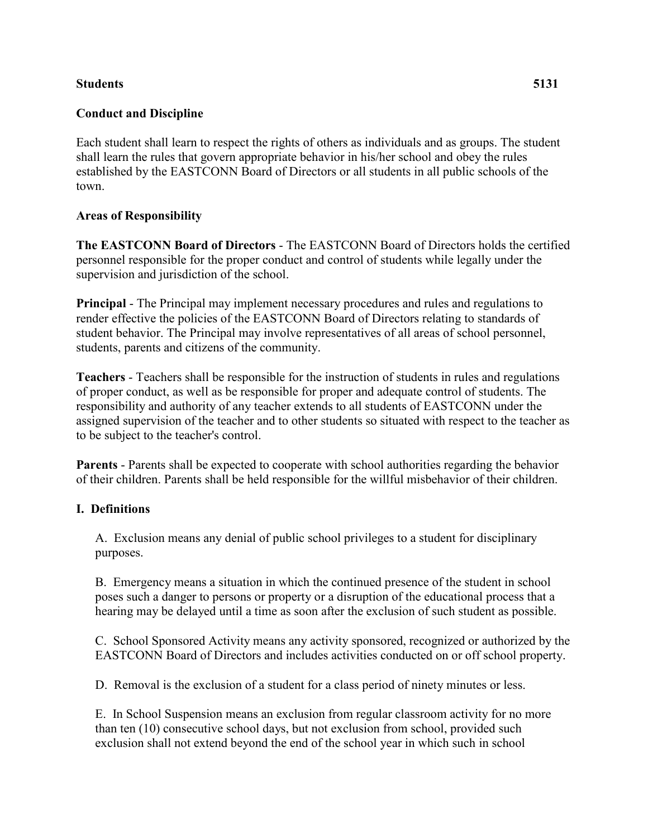#### **Students 5131**

## **Conduct and Discipline**

Each student shall learn to respect the rights of others as individuals and as groups. The student shall learn the rules that govern appropriate behavior in his/her school and obey the rules established by the EASTCONN Board of Directors or all students in all public schools of the town.

## **Areas of Responsibility**

**The EASTCONN Board of Directors** - The EASTCONN Board of Directors holds the certified personnel responsible for the proper conduct and control of students while legally under the supervision and jurisdiction of the school.

**Principal** - The Principal may implement necessary procedures and rules and regulations to render effective the policies of the EASTCONN Board of Directors relating to standards of student behavior. The Principal may involve representatives of all areas of school personnel, students, parents and citizens of the community.

**Teachers** - Teachers shall be responsible for the instruction of students in rules and regulations of proper conduct, as well as be responsible for proper and adequate control of students. The responsibility and authority of any teacher extends to all students of EASTCONN under the assigned supervision of the teacher and to other students so situated with respect to the teacher as to be subject to the teacher's control.

**Parents** - Parents shall be expected to cooperate with school authorities regarding the behavior of their children. Parents shall be held responsible for the willful misbehavior of their children.

## **I. Definitions**

A. Exclusion means any denial of public school privileges to a student for disciplinary purposes.

B. Emergency means a situation in which the continued presence of the student in school poses such a danger to persons or property or a disruption of the educational process that a hearing may be delayed until a time as soon after the exclusion of such student as possible.

C. School Sponsored Activity means any activity sponsored, recognized or authorized by the EASTCONN Board of Directors and includes activities conducted on or off school property.

D. Removal is the exclusion of a student for a class period of ninety minutes or less.

E. In School Suspension means an exclusion from regular classroom activity for no more than ten (10) consecutive school days, but not exclusion from school, provided such exclusion shall not extend beyond the end of the school year in which such in school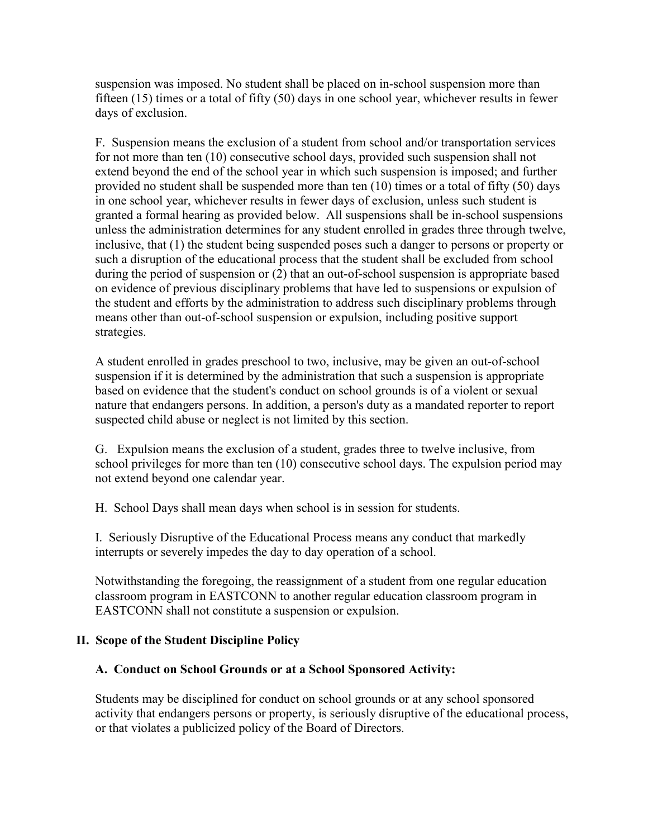suspension was imposed. No student shall be placed on in-school suspension more than fifteen (15) times or a total of fifty (50) days in one school year, whichever results in fewer days of exclusion.

F. Suspension means the exclusion of a student from school and/or transportation services for not more than ten (10) consecutive school days, provided such suspension shall not extend beyond the end of the school year in which such suspension is imposed; and further provided no student shall be suspended more than ten (10) times or a total of fifty (50) days in one school year, whichever results in fewer days of exclusion, unless such student is granted a formal hearing as provided below. All suspensions shall be in-school suspensions unless the administration determines for any student enrolled in grades three through twelve, inclusive, that (1) the student being suspended poses such a danger to persons or property or such a disruption of the educational process that the student shall be excluded from school during the period of suspension or (2) that an out-of-school suspension is appropriate based on evidence of previous disciplinary problems that have led to suspensions or expulsion of the student and efforts by the administration to address such disciplinary problems through means other than out-of-school suspension or expulsion, including positive support strategies.

A student enrolled in grades preschool to two, inclusive, may be given an out-of-school suspension if it is determined by the administration that such a suspension is appropriate based on evidence that the student's conduct on school grounds is of a violent or sexual nature that endangers persons. In addition, a person's duty as a mandated reporter to report suspected child abuse or neglect is not limited by this section.

G. Expulsion means the exclusion of a student, grades three to twelve inclusive, from school privileges for more than ten (10) consecutive school days. The expulsion period may not extend beyond one calendar year.

H. School Days shall mean days when school is in session for students.

I. Seriously Disruptive of the Educational Process means any conduct that markedly interrupts or severely impedes the day to day operation of a school.

Notwithstanding the foregoing, the reassignment of a student from one regular education classroom program in EASTCONN to another regular education classroom program in EASTCONN shall not constitute a suspension or expulsion.

## **II. Scope of the Student Discipline Policy**

## **A. Conduct on School Grounds or at a School Sponsored Activity:**

Students may be disciplined for conduct on school grounds or at any school sponsored activity that endangers persons or property, is seriously disruptive of the educational process, or that violates a publicized policy of the Board of Directors.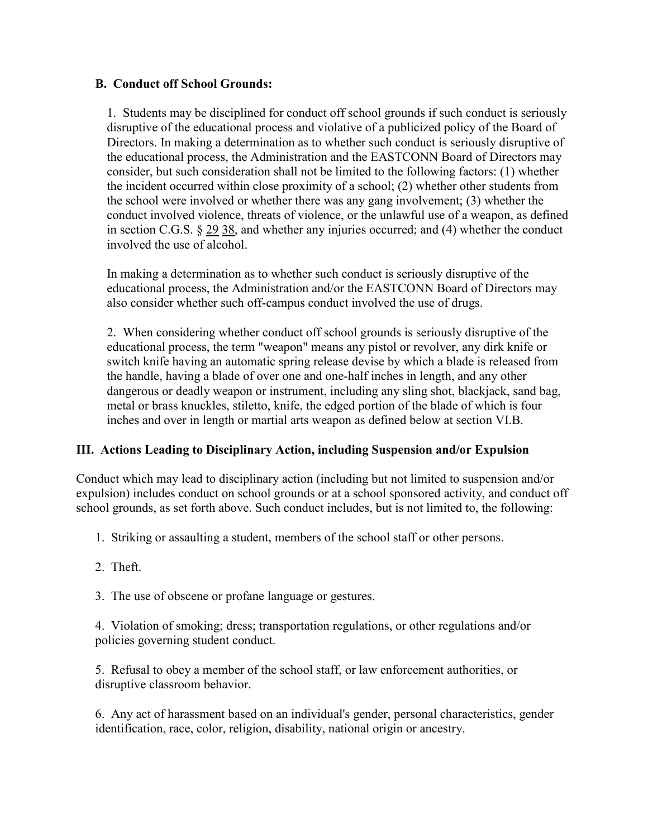#### **B. Conduct off School Grounds:**

1. Students may be disciplined for conduct off school grounds if such conduct is seriously disruptive of the educational process and violative of a publicized policy of the Board of Directors. In making a determination as to whether such conduct is seriously disruptive of the educational process, the Administration and the EASTCONN Board of Directors may consider, but such consideration shall not be limited to the following factors: (1) whether the incident occurred within close proximity of a school; (2) whether other students from the school were involved or whether there was any gang involvement; (3) whether the conduct involved violence, threats of violence, or the unlawful use of a weapon, as defined in section C.G.S. § [29](http://www.cga.ct.gov/2011/pub/Title29.htm) [38,](http://www.cga.ct.gov/2011/pub/Title38.htm) and whether any injuries occurred; and (4) whether the conduct involved the use of alcohol.

In making a determination as to whether such conduct is seriously disruptive of the educational process, the Administration and/or the EASTCONN Board of Directors may also consider whether such off-campus conduct involved the use of drugs.

2. When considering whether conduct off school grounds is seriously disruptive of the educational process, the term "weapon" means any pistol or revolver, any dirk knife or switch knife having an automatic spring release devise by which a blade is released from the handle, having a blade of over one and one-half inches in length, and any other dangerous or deadly weapon or instrument, including any sling shot, blackjack, sand bag, metal or brass knuckles, stiletto, knife, the edged portion of the blade of which is four inches and over in length or martial arts weapon as defined below at section VI.B.

## **III. Actions Leading to Disciplinary Action, including Suspension and/or Expulsion**

Conduct which may lead to disciplinary action (including but not limited to suspension and/or expulsion) includes conduct on school grounds or at a school sponsored activity, and conduct off school grounds, as set forth above. Such conduct includes, but is not limited to, the following:

- 1. Striking or assaulting a student, members of the school staff or other persons.
- 2. Theft.

3. The use of obscene or profane language or gestures.

4. Violation of smoking; dress; transportation regulations, or other regulations and/or policies governing student conduct.

5. Refusal to obey a member of the school staff, or law enforcement authorities, or disruptive classroom behavior.

6. Any act of harassment based on an individual's gender, personal characteristics, gender identification, race, color, religion, disability, national origin or ancestry.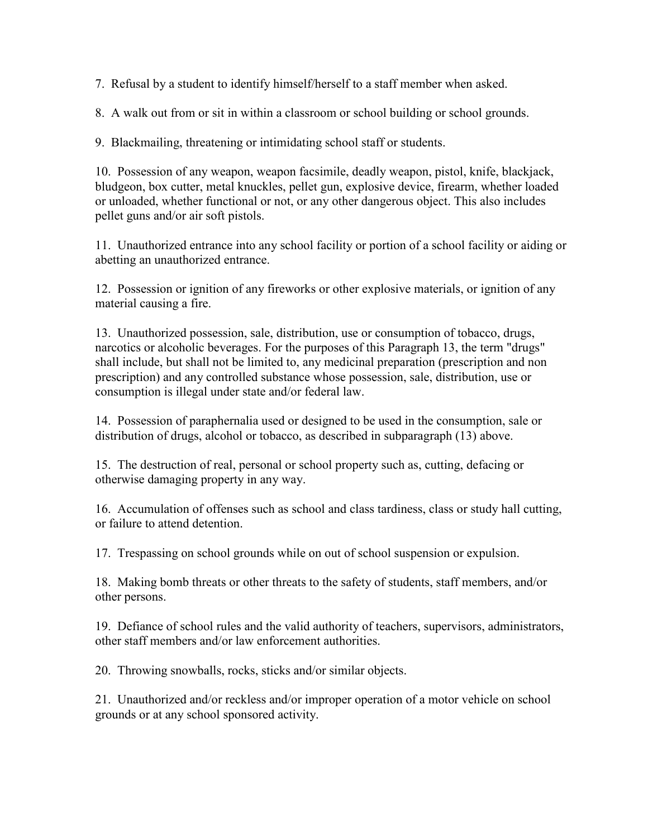7. Refusal by a student to identify himself/herself to a staff member when asked.

8. A walk out from or sit in within a classroom or school building or school grounds.

9. Blackmailing, threatening or intimidating school staff or students.

10. Possession of any weapon, weapon facsimile, deadly weapon, pistol, knife, blackjack, bludgeon, box cutter, metal knuckles, pellet gun, explosive device, firearm, whether loaded or unloaded, whether functional or not, or any other dangerous object. This also includes pellet guns and/or air soft pistols.

11. Unauthorized entrance into any school facility or portion of a school facility or aiding or abetting an unauthorized entrance.

12. Possession or ignition of any fireworks or other explosive materials, or ignition of any material causing a fire.

13. Unauthorized possession, sale, distribution, use or consumption of tobacco, drugs, narcotics or alcoholic beverages. For the purposes of this Paragraph 13, the term "drugs" shall include, but shall not be limited to, any medicinal preparation (prescription and non prescription) and any controlled substance whose possession, sale, distribution, use or consumption is illegal under state and/or federal law.

14. Possession of paraphernalia used or designed to be used in the consumption, sale or distribution of drugs, alcohol or tobacco, as described in subparagraph (13) above.

15. The destruction of real, personal or school property such as, cutting, defacing or otherwise damaging property in any way.

16. Accumulation of offenses such as school and class tardiness, class or study hall cutting, or failure to attend detention.

17. Trespassing on school grounds while on out of school suspension or expulsion.

18. Making bomb threats or other threats to the safety of students, staff members, and/or other persons.

19. Defiance of school rules and the valid authority of teachers, supervisors, administrators, other staff members and/or law enforcement authorities.

20. Throwing snowballs, rocks, sticks and/or similar objects.

21. Unauthorized and/or reckless and/or improper operation of a motor vehicle on school grounds or at any school sponsored activity.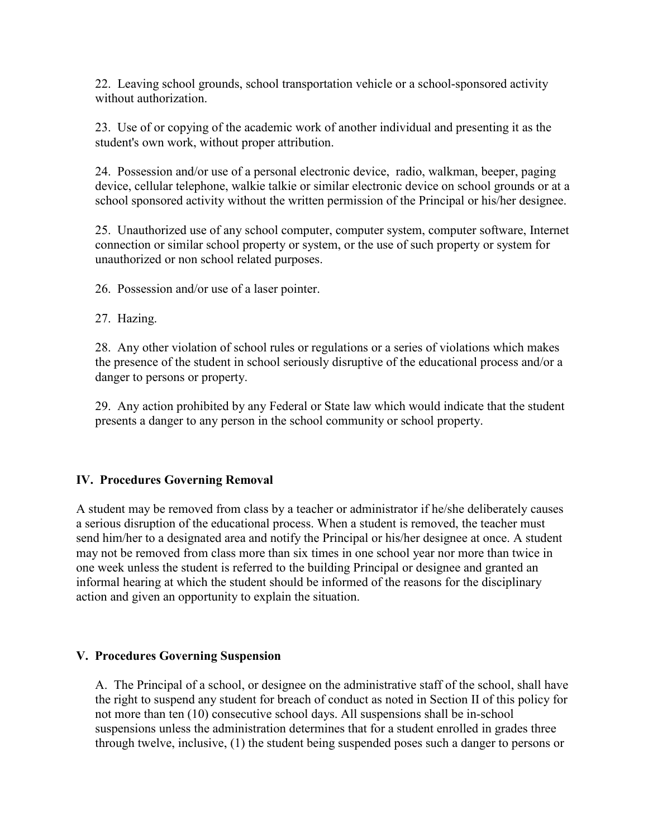22. Leaving school grounds, school transportation vehicle or a school-sponsored activity without authorization.

23. Use of or copying of the academic work of another individual and presenting it as the student's own work, without proper attribution.

24. Possession and/or use of a personal electronic device, radio, walkman, beeper, paging device, cellular telephone, walkie talkie or similar electronic device on school grounds or at a school sponsored activity without the written permission of the Principal or his/her designee.

25. Unauthorized use of any school computer, computer system, computer software, Internet connection or similar school property or system, or the use of such property or system for unauthorized or non school related purposes.

26. Possession and/or use of a laser pointer.

27. Hazing.

28. Any other violation of school rules or regulations or a series of violations which makes the presence of the student in school seriously disruptive of the educational process and/or a danger to persons or property.

29. Any action prohibited by any Federal or State law which would indicate that the student presents a danger to any person in the school community or school property.

## **IV. Procedures Governing Removal**

A student may be removed from class by a teacher or administrator if he/she deliberately causes a serious disruption of the educational process. When a student is removed, the teacher must send him/her to a designated area and notify the Principal or his/her designee at once. A student may not be removed from class more than six times in one school year nor more than twice in one week unless the student is referred to the building Principal or designee and granted an informal hearing at which the student should be informed of the reasons for the disciplinary action and given an opportunity to explain the situation.

#### **V. Procedures Governing Suspension**

A. The Principal of a school, or designee on the administrative staff of the school, shall have the right to suspend any student for breach of conduct as noted in Section II of this policy for not more than ten (10) consecutive school days. All suspensions shall be in-school suspensions unless the administration determines that for a student enrolled in grades three through twelve, inclusive, (1) the student being suspended poses such a danger to persons or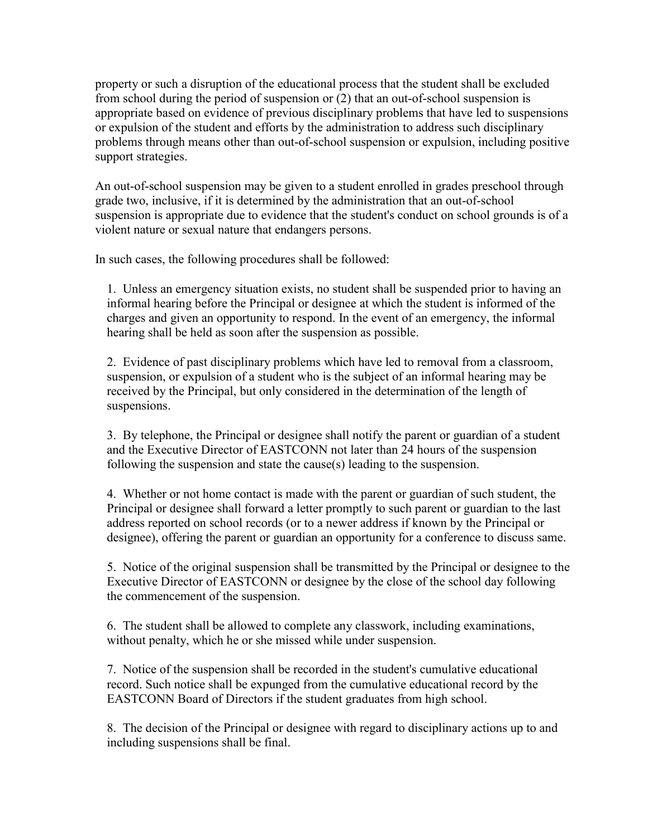property or such a disruption of the educational process that the student shall be excluded from school during the period of suspension or (2) that an out-of-school suspension is appropriate based on evidence of previous disciplinary problems that have led to suspensions or expulsion of the student and efforts by the administration to address such disciplinary problems through means other than out-of-school suspension or expulsion, including positive support strategies.

An out-of-school suspension may be given to a student enrolled in grades preschool through grade two, inclusive, if it is determined by the administration that an out-of-school suspension is appropriate due to evidence that the student's conduct on school grounds is of a violent nature or sexual nature that endangers persons.

In such cases, the following procedures shall be followed:

1. Unless an emergency situation exists, no student shall be suspended prior to having an informal hearing before the Principal or designee at which the student is informed of the charges and given an opportunity to respond. In the event of an emergency, the informal hearing shall be held as soon after the suspension as possible.

2. Evidence of past disciplinary problems which have led to removal from a classroom, suspension, or expulsion of a student who is the subject of an informal hearing may be received by the Principal, but only considered in the determination of the length of suspensions.

3. By telephone, the Principal or designee shall notify the parent or guardian of a student and the Executive Director of EASTCONN not later than 24 hours of the suspension following the suspension and state the cause(s) leading to the suspension.

4. Whether or not home contact is made with the parent or guardian of such student, the Principal or designee shall forward a letter promptly to such parent or guardian to the last address reported on school records (or to a newer address if known by the Principal or designee), offering the parent or guardian an opportunity for a conference to discuss same.

5. Notice of the original suspension shall be transmitted by the Principal or designee to the Executive Director of EASTCONN or designee by the close of the school day following the commencement of the suspension.

6. The student shall be allowed to complete any classwork, including examinations, without penalty, which he or she missed while under suspension.

7. Notice of the suspension shall be recorded in the student's cumulative educational record. Such notice shall be expunged from the cumulative educational record by the EASTCONN Board of Directors if the student graduates from high school.

8. The decision of the Principal or designee with regard to disciplinary actions up to and including suspensions shall be final.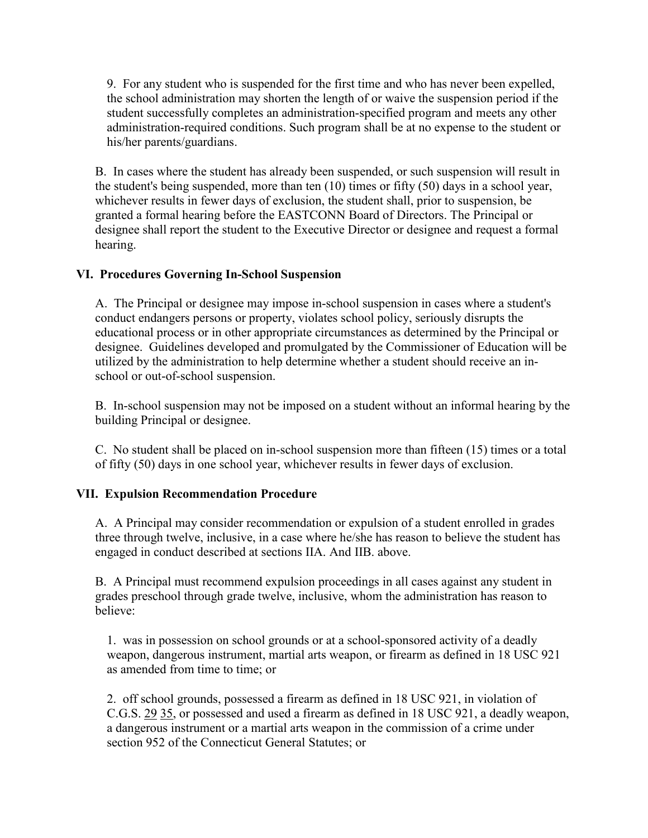9. For any student who is suspended for the first time and who has never been expelled, the school administration may shorten the length of or waive the suspension period if the student successfully completes an administration-specified program and meets any other administration-required conditions. Such program shall be at no expense to the student or his/her parents/guardians.

B. In cases where the student has already been suspended, or such suspension will result in the student's being suspended, more than ten (10) times or fifty (50) days in a school year, whichever results in fewer days of exclusion, the student shall, prior to suspension, be granted a formal hearing before the EASTCONN Board of Directors. The Principal or designee shall report the student to the Executive Director or designee and request a formal hearing.

## **VI. Procedures Governing In-School Suspension**

A. The Principal or designee may impose in-school suspension in cases where a student's conduct endangers persons or property, violates school policy, seriously disrupts the educational process or in other appropriate circumstances as determined by the Principal or designee. Guidelines developed and promulgated by the Commissioner of Education will be utilized by the administration to help determine whether a student should receive an inschool or out-of-school suspension.

B. In-school suspension may not be imposed on a student without an informal hearing by the building Principal or designee.

C. No student shall be placed on in-school suspension more than fifteen (15) times or a total of fifty (50) days in one school year, whichever results in fewer days of exclusion.

# **VII. Expulsion Recommendation Procedure**

A. A Principal may consider recommendation or expulsion of a student enrolled in grades three through twelve, inclusive, in a case where he/she has reason to believe the student has engaged in conduct described at sections IIA. And IIB. above.

B. A Principal must recommend expulsion proceedings in all cases against any student in grades preschool through grade twelve, inclusive, whom the administration has reason to believe:

1. was in possession on school grounds or at a school-sponsored activity of a deadly weapon, dangerous instrument, martial arts weapon, or firearm as defined in 18 USC 921 as amended from time to time; or

2. off school grounds, possessed a firearm as defined in 18 USC 921, in violation of C.G.S. [29](http://www.cga.ct.gov/2011/pub/Title29.htm) [35,](http://www.cga.ct.gov/2011/pub/Title35.htm) or possessed and used a firearm as defined in 18 USC 921, a deadly weapon, a dangerous instrument or a martial arts weapon in the commission of a crime under section 952 of the Connecticut General Statutes; or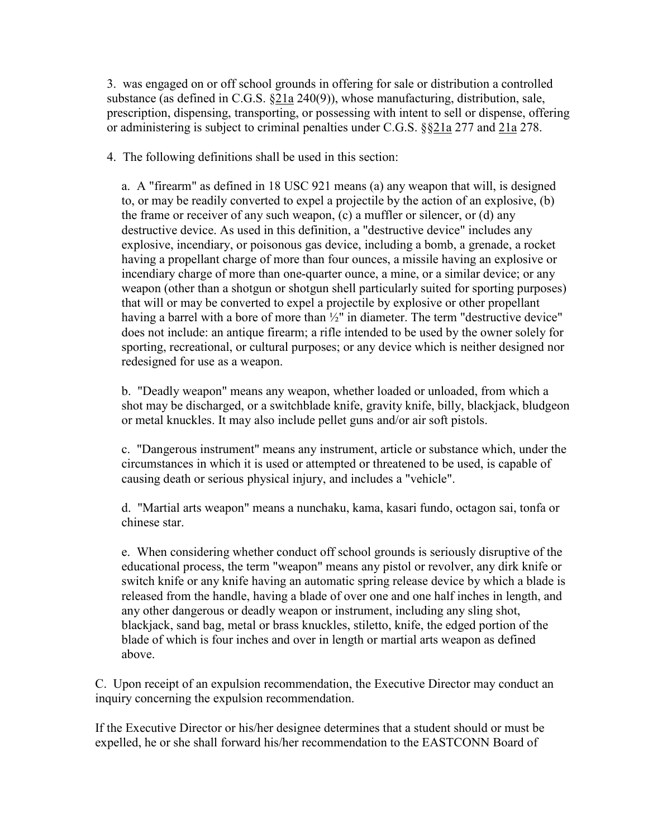3. was engaged on or off school grounds in offering for sale or distribution a controlled substance (as defined in C.G.S.  $\S21a 240(9)$ ), whose manufacturing, distribution, sale, prescription, dispensing, transporting, or possessing with intent to sell or dispense, offering or administering is subject to criminal penalties under C.G.S. §[§21a](http://www.cga.ct.gov/2011/pub/Title21a.htm) 277 and [21a](http://www.cga.ct.gov/2011/pub/Title21a.htm) 278.

4. The following definitions shall be used in this section:

a. A "firearm" as defined in 18 USC 921 means (a) any weapon that will, is designed to, or may be readily converted to expel a projectile by the action of an explosive, (b) the frame or receiver of any such weapon, (c) a muffler or silencer, or (d) any destructive device. As used in this definition, a "destructive device" includes any explosive, incendiary, or poisonous gas device, including a bomb, a grenade, a rocket having a propellant charge of more than four ounces, a missile having an explosive or incendiary charge of more than one-quarter ounce, a mine, or a similar device; or any weapon (other than a shotgun or shotgun shell particularly suited for sporting purposes) that will or may be converted to expel a projectile by explosive or other propellant having a barrel with a bore of more than ½" in diameter. The term "destructive device" does not include: an antique firearm; a rifle intended to be used by the owner solely for sporting, recreational, or cultural purposes; or any device which is neither designed nor redesigned for use as a weapon.

b. "Deadly weapon" means any weapon, whether loaded or unloaded, from which a shot may be discharged, or a switchblade knife, gravity knife, billy, blackjack, bludgeon or metal knuckles. It may also include pellet guns and/or air soft pistols.

c. "Dangerous instrument" means any instrument, article or substance which, under the circumstances in which it is used or attempted or threatened to be used, is capable of causing death or serious physical injury, and includes a "vehicle".

d. "Martial arts weapon" means a nunchaku, kama, kasari fundo, octagon sai, tonfa or chinese star.

e. When considering whether conduct off school grounds is seriously disruptive of the educational process, the term "weapon" means any pistol or revolver, any dirk knife or switch knife or any knife having an automatic spring release device by which a blade is released from the handle, having a blade of over one and one half inches in length, and any other dangerous or deadly weapon or instrument, including any sling shot, blackjack, sand bag, metal or brass knuckles, stiletto, knife, the edged portion of the blade of which is four inches and over in length or martial arts weapon as defined above.

C. Upon receipt of an expulsion recommendation, the Executive Director may conduct an inquiry concerning the expulsion recommendation.

If the Executive Director or his/her designee determines that a student should or must be expelled, he or she shall forward his/her recommendation to the EASTCONN Board of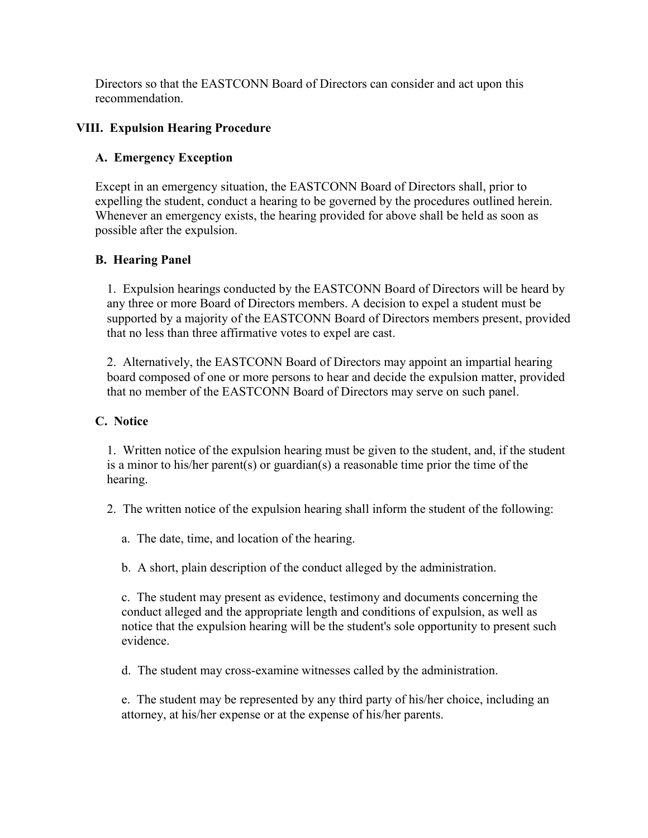Directors so that the EASTCONN Board of Directors can consider and act upon this recommendation.

## **VIII. Expulsion Hearing Procedure**

# **A. Emergency Exception**

Except in an emergency situation, the EASTCONN Board of Directors shall, prior to expelling the student, conduct a hearing to be governed by the procedures outlined herein. Whenever an emergency exists, the hearing provided for above shall be held as soon as possible after the expulsion.

# **B. Hearing Panel**

1. Expulsion hearings conducted by the EASTCONN Board of Directors will be heard by any three or more Board of Directors members. A decision to expel a student must be supported by a majority of the EASTCONN Board of Directors members present, provided that no less than three affirmative votes to expel are cast.

2. Alternatively, the EASTCONN Board of Directors may appoint an impartial hearing board composed of one or more persons to hear and decide the expulsion matter, provided that no member of the EASTCONN Board of Directors may serve on such panel.

## **C. Notice**

1. Written notice of the expulsion hearing must be given to the student, and, if the student is a minor to his/her parent(s) or guardian(s) a reasonable time prior the time of the hearing.

2. The written notice of the expulsion hearing shall inform the student of the following:

a. The date, time, and location of the hearing.

b. A short, plain description of the conduct alleged by the administration.

c. The student may present as evidence, testimony and documents concerning the conduct alleged and the appropriate length and conditions of expulsion, as well as notice that the expulsion hearing will be the student's sole opportunity to present such evidence.

d. The student may cross-examine witnesses called by the administration.

e. The student may be represented by any third party of his/her choice, including an attorney, at his/her expense or at the expense of his/her parents.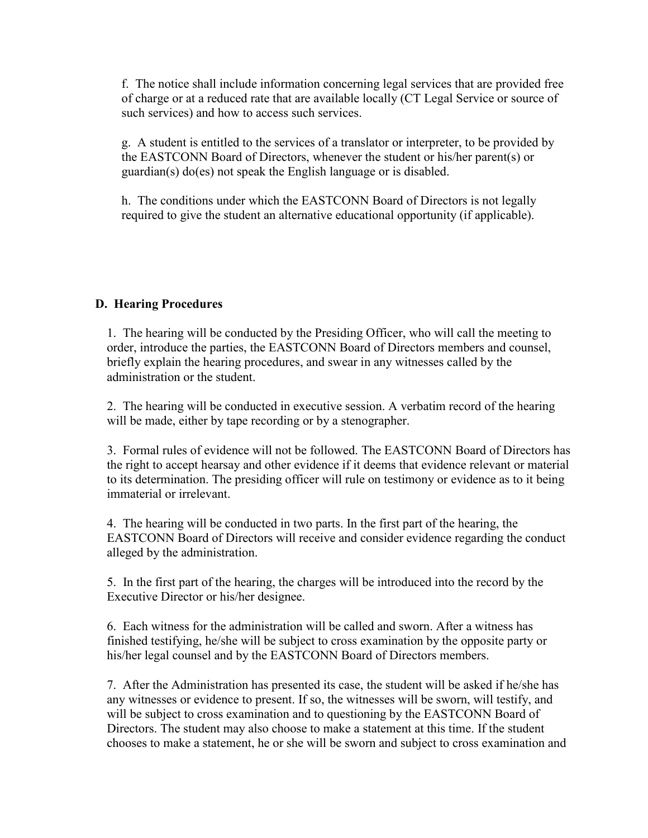f. The notice shall include information concerning legal services that are provided free of charge or at a reduced rate that are available locally (CT Legal Service or source of such services) and how to access such services.

g. A student is entitled to the services of a translator or interpreter, to be provided by the EASTCONN Board of Directors, whenever the student or his/her parent(s) or guardian(s) do(es) not speak the English language or is disabled.

h. The conditions under which the EASTCONN Board of Directors is not legally required to give the student an alternative educational opportunity (if applicable).

#### **D. Hearing Procedures**

1. The hearing will be conducted by the Presiding Officer, who will call the meeting to order, introduce the parties, the EASTCONN Board of Directors members and counsel, briefly explain the hearing procedures, and swear in any witnesses called by the administration or the student.

2. The hearing will be conducted in executive session. A verbatim record of the hearing will be made, either by tape recording or by a stenographer.

3. Formal rules of evidence will not be followed. The EASTCONN Board of Directors has the right to accept hearsay and other evidence if it deems that evidence relevant or material to its determination. The presiding officer will rule on testimony or evidence as to it being immaterial or irrelevant.

4. The hearing will be conducted in two parts. In the first part of the hearing, the EASTCONN Board of Directors will receive and consider evidence regarding the conduct alleged by the administration.

5. In the first part of the hearing, the charges will be introduced into the record by the Executive Director or his/her designee.

6. Each witness for the administration will be called and sworn. After a witness has finished testifying, he/she will be subject to cross examination by the opposite party or his/her legal counsel and by the EASTCONN Board of Directors members.

7. After the Administration has presented its case, the student will be asked if he/she has any witnesses or evidence to present. If so, the witnesses will be sworn, will testify, and will be subject to cross examination and to questioning by the EASTCONN Board of Directors. The student may also choose to make a statement at this time. If the student chooses to make a statement, he or she will be sworn and subject to cross examination and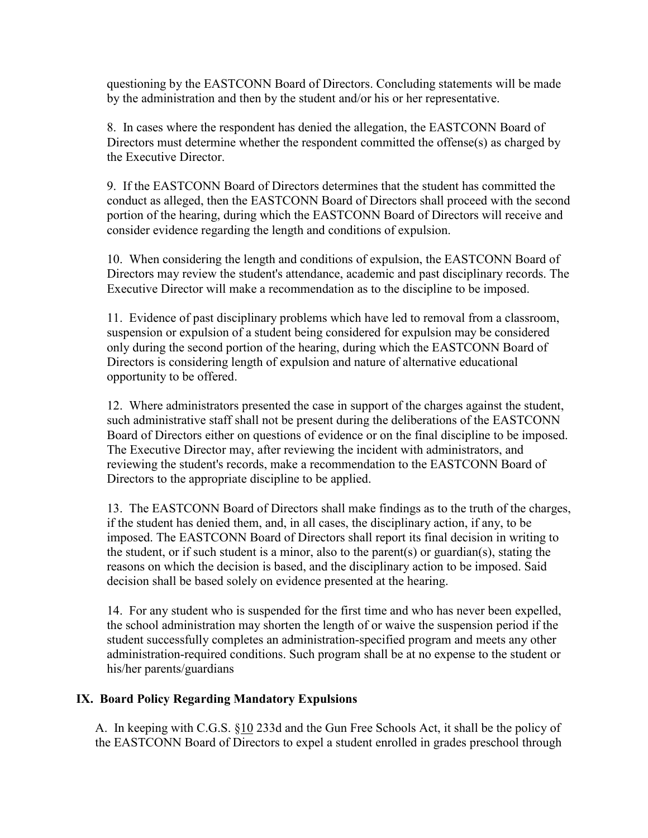questioning by the EASTCONN Board of Directors. Concluding statements will be made by the administration and then by the student and/or his or her representative.

8. In cases where the respondent has denied the allegation, the EASTCONN Board of Directors must determine whether the respondent committed the offense(s) as charged by the Executive Director.

9. If the EASTCONN Board of Directors determines that the student has committed the conduct as alleged, then the EASTCONN Board of Directors shall proceed with the second portion of the hearing, during which the EASTCONN Board of Directors will receive and consider evidence regarding the length and conditions of expulsion.

10. When considering the length and conditions of expulsion, the EASTCONN Board of Directors may review the student's attendance, academic and past disciplinary records. The Executive Director will make a recommendation as to the discipline to be imposed.

11. Evidence of past disciplinary problems which have led to removal from a classroom, suspension or expulsion of a student being considered for expulsion may be considered only during the second portion of the hearing, during which the EASTCONN Board of Directors is considering length of expulsion and nature of alternative educational opportunity to be offered.

12. Where administrators presented the case in support of the charges against the student, such administrative staff shall not be present during the deliberations of the EASTCONN Board of Directors either on questions of evidence or on the final discipline to be imposed. The Executive Director may, after reviewing the incident with administrators, and reviewing the student's records, make a recommendation to the EASTCONN Board of Directors to the appropriate discipline to be applied.

13. The EASTCONN Board of Directors shall make findings as to the truth of the charges, if the student has denied them, and, in all cases, the disciplinary action, if any, to be imposed. The EASTCONN Board of Directors shall report its final decision in writing to the student, or if such student is a minor, also to the parent(s) or guardian(s), stating the reasons on which the decision is based, and the disciplinary action to be imposed. Said decision shall be based solely on evidence presented at the hearing.

14. For any student who is suspended for the first time and who has never been expelled, the school administration may shorten the length of or waive the suspension period if the student successfully completes an administration-specified program and meets any other administration-required conditions. Such program shall be at no expense to the student or his/her parents/guardians

## **IX. Board Policy Regarding Mandatory Expulsions**

A. In keeping with C.G.S. [§10](http://www.cga.ct.gov/2011/pub/Title10.htm) 233d and the Gun Free Schools Act, it shall be the policy of the EASTCONN Board of Directors to expel a student enrolled in grades preschool through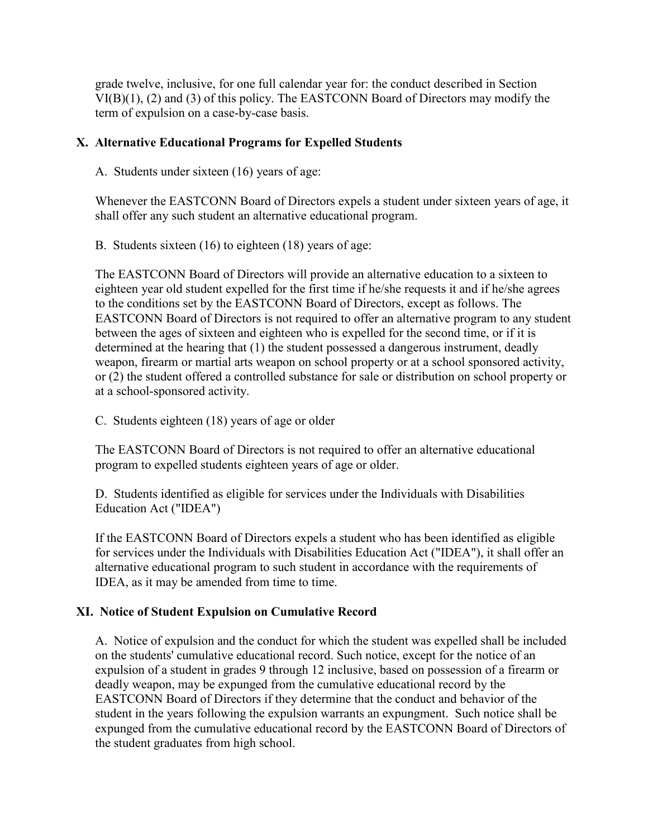grade twelve, inclusive, for one full calendar year for: the conduct described in Section VI(B)(1), (2) and (3) of this policy. The EASTCONN Board of Directors may modify the term of expulsion on a case-by-case basis.

## **X. Alternative Educational Programs for Expelled Students**

A. Students under sixteen (16) years of age:

Whenever the EASTCONN Board of Directors expels a student under sixteen years of age, it shall offer any such student an alternative educational program.

B. Students sixteen (16) to eighteen (18) years of age:

The EASTCONN Board of Directors will provide an alternative education to a sixteen to eighteen year old student expelled for the first time if he/she requests it and if he/she agrees to the conditions set by the EASTCONN Board of Directors, except as follows. The EASTCONN Board of Directors is not required to offer an alternative program to any student between the ages of sixteen and eighteen who is expelled for the second time, or if it is determined at the hearing that (1) the student possessed a dangerous instrument, deadly weapon, firearm or martial arts weapon on school property or at a school sponsored activity, or (2) the student offered a controlled substance for sale or distribution on school property or at a school-sponsored activity.

C. Students eighteen (18) years of age or older

The EASTCONN Board of Directors is not required to offer an alternative educational program to expelled students eighteen years of age or older.

D. Students identified as eligible for services under the Individuals with Disabilities Education Act ("IDEA")

If the EASTCONN Board of Directors expels a student who has been identified as eligible for services under the Individuals with Disabilities Education Act ("IDEA"), it shall offer an alternative educational program to such student in accordance with the requirements of IDEA, as it may be amended from time to time.

## **XI. Notice of Student Expulsion on Cumulative Record**

A. Notice of expulsion and the conduct for which the student was expelled shall be included on the students' cumulative educational record. Such notice, except for the notice of an expulsion of a student in grades 9 through 12 inclusive, based on possession of a firearm or deadly weapon, may be expunged from the cumulative educational record by the EASTCONN Board of Directors if they determine that the conduct and behavior of the student in the years following the expulsion warrants an expungment. Such notice shall be expunged from the cumulative educational record by the EASTCONN Board of Directors of the student graduates from high school.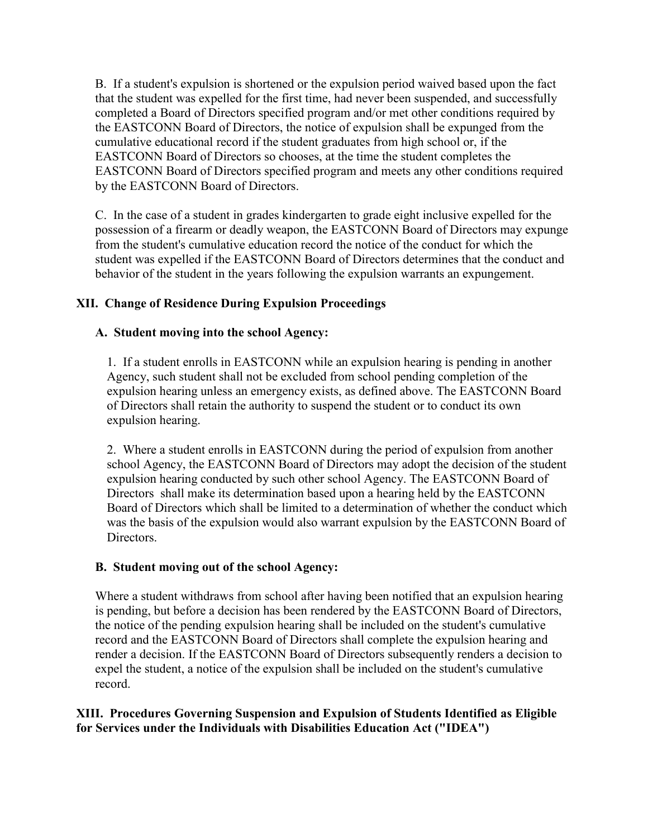B. If a student's expulsion is shortened or the expulsion period waived based upon the fact that the student was expelled for the first time, had never been suspended, and successfully completed a Board of Directors specified program and/or met other conditions required by the EASTCONN Board of Directors, the notice of expulsion shall be expunged from the cumulative educational record if the student graduates from high school or, if the EASTCONN Board of Directors so chooses, at the time the student completes the EASTCONN Board of Directors specified program and meets any other conditions required by the EASTCONN Board of Directors.

C. In the case of a student in grades kindergarten to grade eight inclusive expelled for the possession of a firearm or deadly weapon, the EASTCONN Board of Directors may expunge from the student's cumulative education record the notice of the conduct for which the student was expelled if the EASTCONN Board of Directors determines that the conduct and behavior of the student in the years following the expulsion warrants an expungement.

# **XII. Change of Residence During Expulsion Proceedings**

## **A. Student moving into the school Agency:**

1. If a student enrolls in EASTCONN while an expulsion hearing is pending in another Agency, such student shall not be excluded from school pending completion of the expulsion hearing unless an emergency exists, as defined above. The EASTCONN Board of Directors shall retain the authority to suspend the student or to conduct its own expulsion hearing.

2. Where a student enrolls in EASTCONN during the period of expulsion from another school Agency, the EASTCONN Board of Directors may adopt the decision of the student expulsion hearing conducted by such other school Agency. The EASTCONN Board of Directors shall make its determination based upon a hearing held by the EASTCONN Board of Directors which shall be limited to a determination of whether the conduct which was the basis of the expulsion would also warrant expulsion by the EASTCONN Board of Directors.

## **B. Student moving out of the school Agency:**

Where a student withdraws from school after having been notified that an expulsion hearing is pending, but before a decision has been rendered by the EASTCONN Board of Directors, the notice of the pending expulsion hearing shall be included on the student's cumulative record and the EASTCONN Board of Directors shall complete the expulsion hearing and render a decision. If the EASTCONN Board of Directors subsequently renders a decision to expel the student, a notice of the expulsion shall be included on the student's cumulative record.

# **XIII. Procedures Governing Suspension and Expulsion of Students Identified as Eligible for Services under the Individuals with Disabilities Education Act ("IDEA")**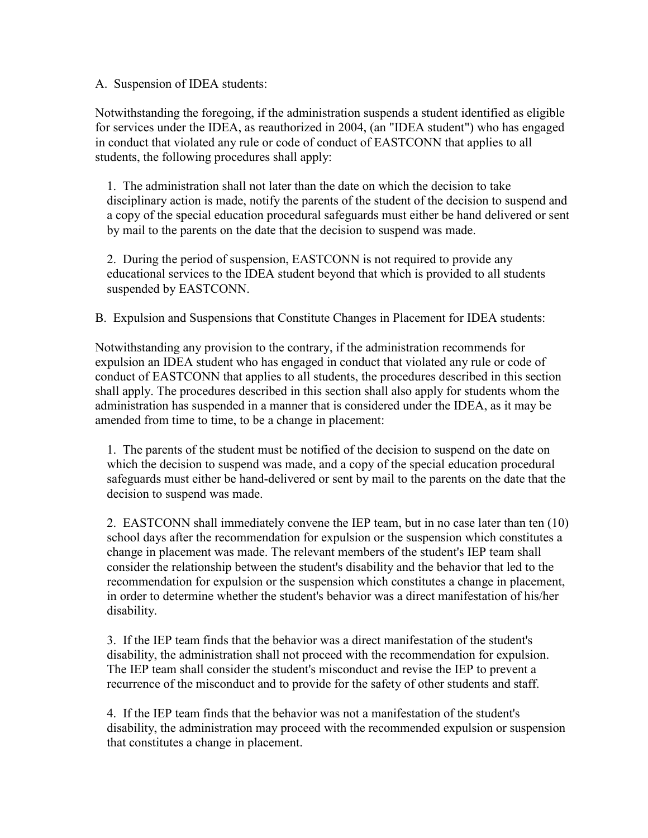A. Suspension of IDEA students:

Notwithstanding the foregoing, if the administration suspends a student identified as eligible for services under the IDEA, as reauthorized in 2004, (an "IDEA student") who has engaged in conduct that violated any rule or code of conduct of EASTCONN that applies to all students, the following procedures shall apply:

1. The administration shall not later than the date on which the decision to take disciplinary action is made, notify the parents of the student of the decision to suspend and a copy of the special education procedural safeguards must either be hand delivered or sent by mail to the parents on the date that the decision to suspend was made.

2. During the period of suspension, EASTCONN is not required to provide any educational services to the IDEA student beyond that which is provided to all students suspended by EASTCONN.

B. Expulsion and Suspensions that Constitute Changes in Placement for IDEA students:

Notwithstanding any provision to the contrary, if the administration recommends for expulsion an IDEA student who has engaged in conduct that violated any rule or code of conduct of EASTCONN that applies to all students, the procedures described in this section shall apply. The procedures described in this section shall also apply for students whom the administration has suspended in a manner that is considered under the IDEA, as it may be amended from time to time, to be a change in placement:

1. The parents of the student must be notified of the decision to suspend on the date on which the decision to suspend was made, and a copy of the special education procedural safeguards must either be hand-delivered or sent by mail to the parents on the date that the decision to suspend was made.

2. EASTCONN shall immediately convene the IEP team, but in no case later than ten (10) school days after the recommendation for expulsion or the suspension which constitutes a change in placement was made. The relevant members of the student's IEP team shall consider the relationship between the student's disability and the behavior that led to the recommendation for expulsion or the suspension which constitutes a change in placement, in order to determine whether the student's behavior was a direct manifestation of his/her disability.

3. If the IEP team finds that the behavior was a direct manifestation of the student's disability, the administration shall not proceed with the recommendation for expulsion. The IEP team shall consider the student's misconduct and revise the IEP to prevent a recurrence of the misconduct and to provide for the safety of other students and staff.

4. If the IEP team finds that the behavior was not a manifestation of the student's disability, the administration may proceed with the recommended expulsion or suspension that constitutes a change in placement.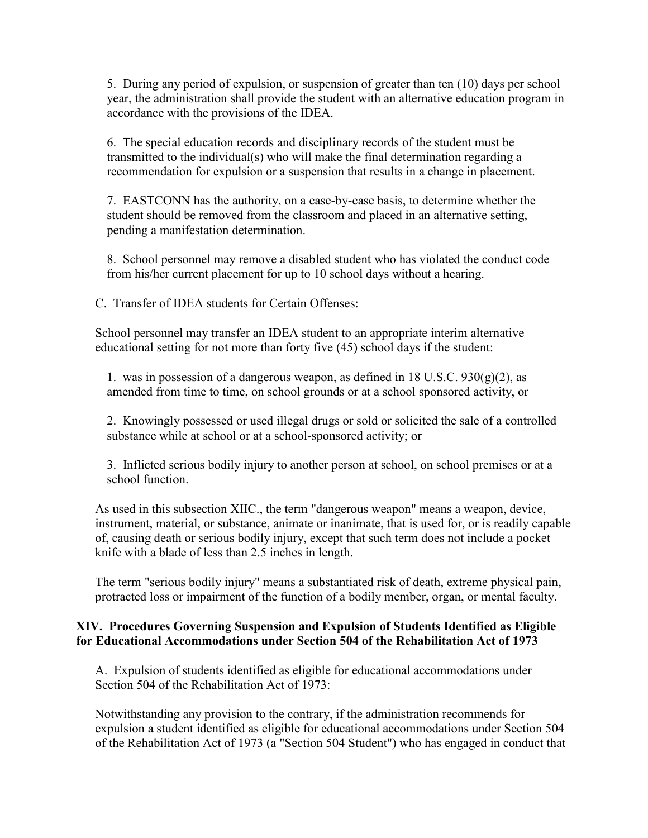5. During any period of expulsion, or suspension of greater than ten (10) days per school year, the administration shall provide the student with an alternative education program in accordance with the provisions of the IDEA.

6. The special education records and disciplinary records of the student must be transmitted to the individual(s) who will make the final determination regarding a recommendation for expulsion or a suspension that results in a change in placement.

7. EASTCONN has the authority, on a case-by-case basis, to determine whether the student should be removed from the classroom and placed in an alternative setting, pending a manifestation determination.

8. School personnel may remove a disabled student who has violated the conduct code from his/her current placement for up to 10 school days without a hearing.

C. Transfer of IDEA students for Certain Offenses:

School personnel may transfer an IDEA student to an appropriate interim alternative educational setting for not more than forty five (45) school days if the student:

1. was in possession of a dangerous weapon, as defined in 18 U.S.C.  $930(g)(2)$ , as amended from time to time, on school grounds or at a school sponsored activity, or

2. Knowingly possessed or used illegal drugs or sold or solicited the sale of a controlled substance while at school or at a school-sponsored activity; or

3. Inflicted serious bodily injury to another person at school, on school premises or at a school function.

As used in this subsection XIIC., the term "dangerous weapon" means a weapon, device, instrument, material, or substance, animate or inanimate, that is used for, or is readily capable of, causing death or serious bodily injury, except that such term does not include a pocket knife with a blade of less than 2.5 inches in length.

The term "serious bodily injury" means a substantiated risk of death, extreme physical pain, protracted loss or impairment of the function of a bodily member, organ, or mental faculty.

#### **XIV. Procedures Governing Suspension and Expulsion of Students Identified as Eligible for Educational Accommodations under Section 504 of the Rehabilitation Act of 1973**

A. Expulsion of students identified as eligible for educational accommodations under Section 504 of the Rehabilitation Act of 1973:

Notwithstanding any provision to the contrary, if the administration recommends for expulsion a student identified as eligible for educational accommodations under Section 504 of the Rehabilitation Act of 1973 (a "Section 504 Student") who has engaged in conduct that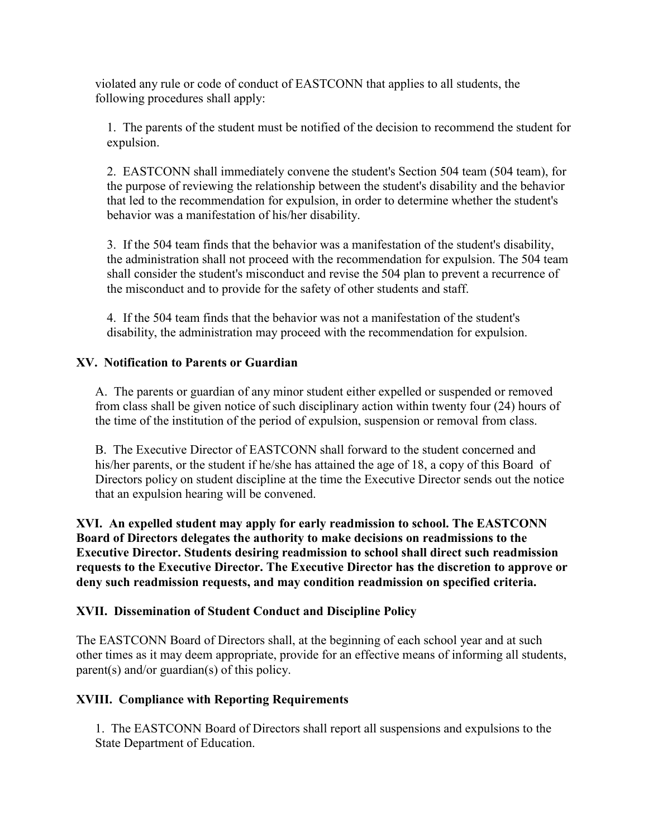violated any rule or code of conduct of EASTCONN that applies to all students, the following procedures shall apply:

1. The parents of the student must be notified of the decision to recommend the student for expulsion.

2. EASTCONN shall immediately convene the student's Section 504 team (504 team), for the purpose of reviewing the relationship between the student's disability and the behavior that led to the recommendation for expulsion, in order to determine whether the student's behavior was a manifestation of his/her disability.

3. If the 504 team finds that the behavior was a manifestation of the student's disability, the administration shall not proceed with the recommendation for expulsion. The 504 team shall consider the student's misconduct and revise the 504 plan to prevent a recurrence of the misconduct and to provide for the safety of other students and staff.

4. If the 504 team finds that the behavior was not a manifestation of the student's disability, the administration may proceed with the recommendation for expulsion.

#### **XV. Notification to Parents or Guardian**

A. The parents or guardian of any minor student either expelled or suspended or removed from class shall be given notice of such disciplinary action within twenty four (24) hours of the time of the institution of the period of expulsion, suspension or removal from class.

B. The Executive Director of EASTCONN shall forward to the student concerned and his/her parents, or the student if he/she has attained the age of 18, a copy of this Board of Directors policy on student discipline at the time the Executive Director sends out the notice that an expulsion hearing will be convened.

**XVI. An expelled student may apply for early readmission to school. The EASTCONN Board of Directors delegates the authority to make decisions on readmissions to the Executive Director. Students desiring readmission to school shall direct such readmission requests to the Executive Director. The Executive Director has the discretion to approve or deny such readmission requests, and may condition readmission on specified criteria.**

## **XVII. Dissemination of Student Conduct and Discipline Policy**

The EASTCONN Board of Directors shall, at the beginning of each school year and at such other times as it may deem appropriate, provide for an effective means of informing all students, parent(s) and/or guardian(s) of this policy.

## **XVIII. Compliance with Reporting Requirements**

1. The EASTCONN Board of Directors shall report all suspensions and expulsions to the State Department of Education.